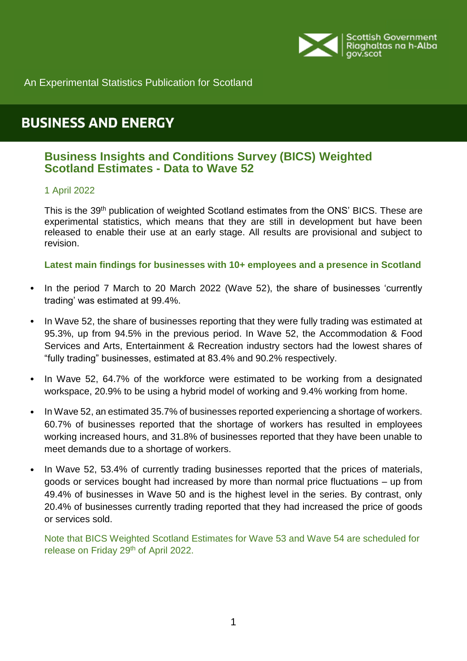

An Experimental Statistics Publication for Scotland

# **BUSINESS AND ENERGY**

# **Business Insights and Conditions Survey (BICS) Weighted Scotland Estimates - Data to Wave 52**

#### 1 April 2022

This is the 39<sup>th</sup> publication of weighted Scotland estimates from the ONS' BICS. These are experimental statistics, which means that they are still in development but have been released to enable their use at an early stage. All results are provisional and subject to revision.

#### <span id="page-0-0"></span>**Latest main findings for businesses with 10+ employees and a presence in Scotland**

- In the period 7 March to 20 March 2022 (Wave 52), the share of businesses 'currently trading' was estimated at 99.4%.
- In Wave 52, the share of businesses reporting that they were fully trading was estimated at 95.3%, up from 94.5% in the previous period. In Wave 52, the Accommodation & Food Services and Arts, Entertainment & Recreation industry sectors had the lowest shares of "fully trading" businesses, estimated at 83.4% and 90.2% respectively.
- In Wave 52, 64.7% of the workforce were estimated to be working from a designated workspace, 20.9% to be using a hybrid model of working and 9.4% working from home.
- In Wave 52, an estimated 35.7% of businesses reported experiencing a shortage of workers. 60.7% of businesses reported that the shortage of workers has resulted in employees working increased hours, and 31.8% of businesses reported that they have been unable to meet demands due to a shortage of workers.
- In Wave 52, 53.4% of currently trading businesses reported that the prices of materials, goods or services bought had increased by more than normal price fluctuations – up from 49.4% of businesses in Wave 50 and is the highest level in the series. By contrast, only 20.4% of businesses currently trading reported that they had increased the price of goods or services sold.

Note that BICS Weighted Scotland Estimates for Wave 53 and Wave 54 are scheduled for release on Friday 29<sup>th</sup> of April 2022.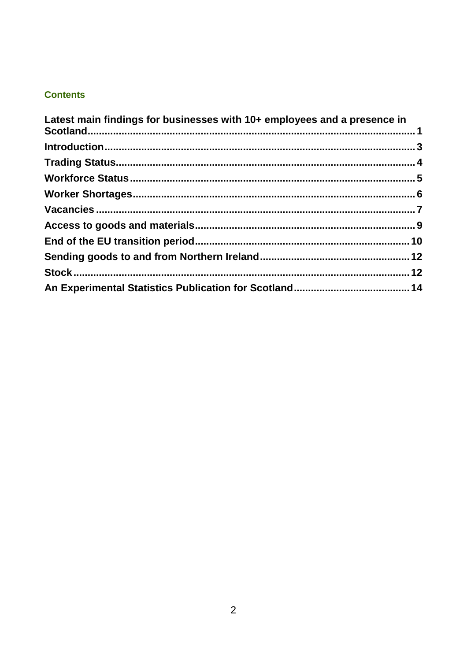# **Contents**

| Latest main findings for businesses with 10+ employees and a presence in |  |
|--------------------------------------------------------------------------|--|
|                                                                          |  |
|                                                                          |  |
|                                                                          |  |
|                                                                          |  |
|                                                                          |  |
|                                                                          |  |
|                                                                          |  |
|                                                                          |  |
|                                                                          |  |
|                                                                          |  |
|                                                                          |  |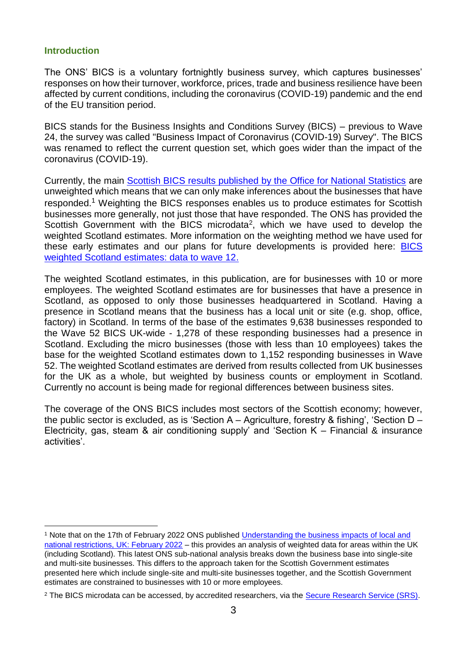#### <span id="page-2-0"></span>**Introduction**

The ONS' BICS is a voluntary fortnightly business survey, which captures businesses' responses on how their turnover, workforce, prices, trade and business resilience have been affected by current conditions, including the coronavirus (COVID-19) pandemic and the end of the EU transition period.

BICS stands for the Business Insights and Conditions Survey (BICS) – previous to Wave 24, the survey was called "Business Impact of Coronavirus (COVID-19) Survey". The BICS was renamed to reflect the current question set, which goes wider than the impact of the coronavirus (COVID-19).

Currently, the main [Scottish BICS results published by the Office for National Statistics](https://www.ons.gov.uk/economy/economicoutputandproductivity/output/datasets/businessinsightsandimpactontheukeconomy) are unweighted which means that we can only make inferences about the businesses that have responded.<sup>1</sup> Weighting the BICS responses enables us to produce estimates for Scottish businesses more generally, not just those that have responded. The ONS has provided the Scottish Government with the BICS microdata<sup>2</sup>, which we have used to develop the weighted Scotland estimates. More information on the weighting method we have used for these early estimates and our plans for future developments is provided here: [BICS](https://www.gov.scot/publications/bics-weighted-scotland-estimates-data-to-wave-12/)  [weighted Scotland estimates: data to wave 12.](https://www.gov.scot/publications/bics-weighted-scotland-estimates-data-to-wave-12/)

The weighted Scotland estimates, in this publication, are for businesses with 10 or more employees. The weighted Scotland estimates are for businesses that have a presence in Scotland, as opposed to only those businesses headquartered in Scotland. Having a presence in Scotland means that the business has a local unit or site (e.g. shop, office, factory) in Scotland. In terms of the base of the estimates 9,638 businesses responded to the Wave 52 BICS UK-wide - 1,278 of these responding businesses had a presence in Scotland. Excluding the micro businesses (those with less than 10 employees) takes the base for the weighted Scotland estimates down to 1,152 responding businesses in Wave 52. The weighted Scotland estimates are derived from results collected from UK businesses for the UK as a whole, but weighted by business counts or employment in Scotland. Currently no account is being made for regional differences between business sites.

The coverage of the ONS BICS includes most sectors of the Scottish economy; however, the public sector is excluded, as is 'Section A – Agriculture, forestry & fishing', 'Section D – Electricity, gas, steam & air conditioning supply' and 'Section K – Financial & insurance activities'.

l <sup>1</sup> Note that on the 17th of February 2022 ONS published [Understanding the business impacts of local and](https://www.ons.gov.uk/businessindustryandtrade/business/businessservices/articles/businessinsightsandimpactontheukandsubnationaleconomy/february2022)  [national restrictions, UK: February 2022](https://www.ons.gov.uk/businessindustryandtrade/business/businessservices/articles/businessinsightsandimpactontheukandsubnationaleconomy/february2022) – this provides an analysis of weighted data for areas within the UK (including Scotland). This latest ONS sub-national analysis breaks down the business base into single-site and multi-site businesses. This differs to the approach taken for the Scottish Government estimates presented here which include single-site and multi-site businesses together, and the Scottish Government estimates are constrained to businesses with 10 or more employees.

<sup>&</sup>lt;sup>2</sup> The BICS microdata can be accessed, by accredited researchers, via the [Secure Research Service \(SRS\).](https://www.ons.gov.uk/aboutus/whatwedo/statistics/requestingstatistics/approvedresearcherscheme)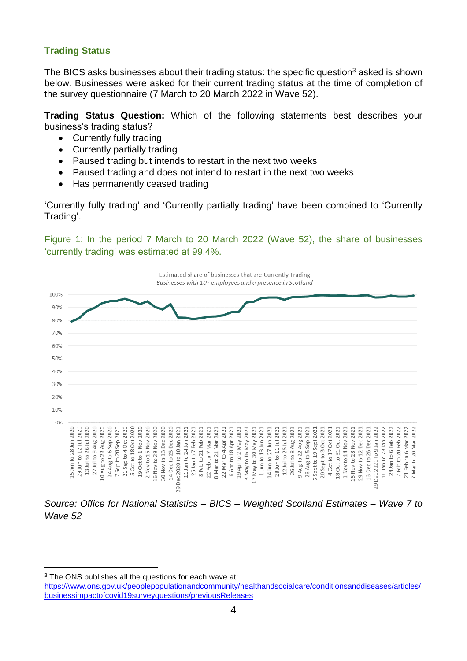## <span id="page-3-0"></span>**Trading Status**

The BICS asks businesses about their trading status: the specific question<sup>3</sup> asked is shown below. Businesses were asked for their current trading status at the time of completion of the survey questionnaire (7 March to 20 March 2022 in Wave 52).

**Trading Status Question:** Which of the following statements best describes your business's trading status?

- Currently fully trading
- Currently partially trading
- Paused trading but intends to restart in the next two weeks
- Paused trading and does not intend to restart in the next two weeks
- Has permanently ceased trading

'Currently fully trading' and 'Currently partially trading' have been combined to 'Currently Trading'.

Figure 1: In the period 7 March to 20 March 2022 (Wave 52), the share of businesses 'currently trading' was estimated at 99.4%.



*Wave 52*

 $\overline{a}$ 

<sup>3</sup> The ONS publishes all the questions for each wave at:

[https://www.ons.gov.uk/peoplepopulationandcommunity/healthandsocialcare/conditionsanddiseases/articles/](https://www.ons.gov.uk/peoplepopulationandcommunity/healthandsocialcare/conditionsanddiseases/articles/businessimpactofcovid19surveyquestions/previousReleases) [businessimpactofcovid19surveyquestions/previousReleases](https://www.ons.gov.uk/peoplepopulationandcommunity/healthandsocialcare/conditionsanddiseases/articles/businessimpactofcovid19surveyquestions/previousReleases)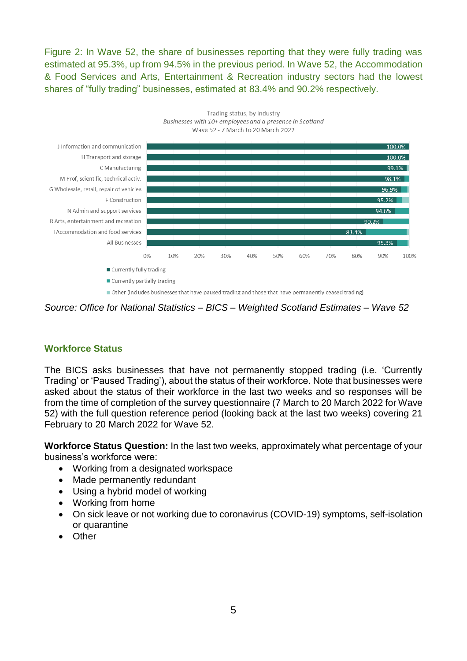Figure 2: In Wave 52, the share of businesses reporting that they were fully trading was estimated at 95.3%, up from 94.5% in the previous period. In Wave 52, the Accommodation & Food Services and Arts, Entertainment & Recreation industry sectors had the lowest shares of "fully trading" businesses, estimated at 83.4% and 90.2% respectively.



*Source: Office for National Statistics – BICS – Weighted Scotland Estimates – Wave 52*

## <span id="page-4-0"></span>**Workforce Status**

The BICS asks businesses that have not permanently stopped trading (i.e. 'Currently Trading' or 'Paused Trading'), about the status of their workforce. Note that businesses were asked about the status of their workforce in the last two weeks and so responses will be from the time of completion of the survey questionnaire (7 March to 20 March 2022 for Wave 52) with the full question reference period (looking back at the last two weeks) covering 21 February to 20 March 2022 for Wave 52.

**Workforce Status Question:** In the last two weeks, approximately what percentage of your business's workforce were:

- Working from a designated workspace
- Made permanently redundant
- Using a hybrid model of working
- Working from home
- On sick leave or not working due to coronavirus (COVID-19) symptoms, self-isolation or quarantine
- **Other**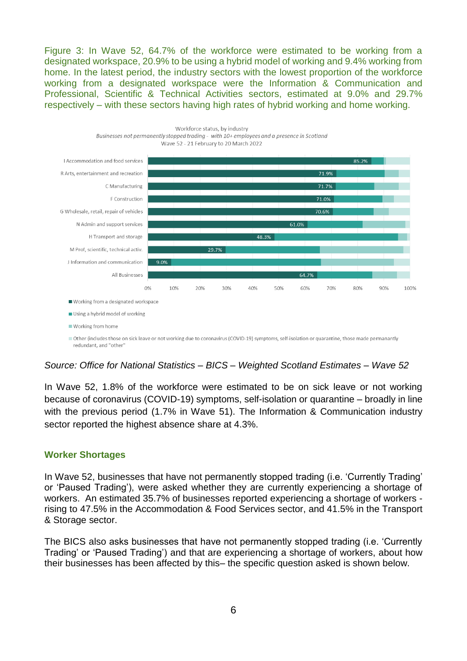Figure 3: In Wave 52, 64.7% of the workforce were estimated to be working from a designated workspace, 20.9% to be using a hybrid model of working and 9.4% working from home. In the latest period, the industry sectors with the lowest proportion of the workforce working from a designated workspace were the Information & Communication and Professional, Scientific & Technical Activities sectors, estimated at 9.0% and 29.7% respectively – with these sectors having high rates of hybrid working and home working.



#### *Source: Office for National Statistics – BICS – Weighted Scotland Estimates – Wave 52*

In Wave 52, 1.8% of the workforce were estimated to be on sick leave or not working because of coronavirus (COVID-19) symptoms, self-isolation or quarantine – broadly in line with the previous period (1.7% in Wave 51). The Information & Communication industry sector reported the highest absence share at 4.3%.

#### <span id="page-5-0"></span>**Worker Shortages**

In Wave 52, businesses that have not permanently stopped trading (i.e. 'Currently Trading' or 'Paused Trading'), were asked whether they are currently experiencing a shortage of workers. An estimated 35.7% of businesses reported experiencing a shortage of workers rising to 47.5% in the Accommodation & Food Services sector, and 41.5% in the Transport & Storage sector.

The BICS also asks businesses that have not permanently stopped trading (i.e. 'Currently Trading' or 'Paused Trading') and that are experiencing a shortage of workers, about how their businesses has been affected by this– the specific question asked is shown below.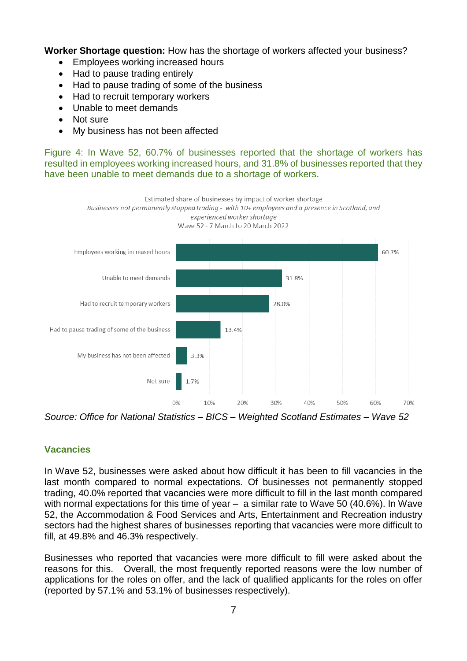**Worker Shortage question:** How has the shortage of workers affected your business?

- Employees working increased hours
- Had to pause trading entirely
- Had to pause trading of some of the business
- Had to recruit temporary workers
- Unable to meet demands
- Not sure
- My business has not been affected

Figure 4: In Wave 52, 60.7% of businesses reported that the shortage of workers has resulted in employees working increased hours, and 31.8% of businesses reported that they have been unable to meet demands due to a shortage of workers.



*Source: Office for National Statistics – BICS – Weighted Scotland Estimates – Wave 52*

## <span id="page-6-0"></span>**Vacancies**

In Wave 52, businesses were asked about how difficult it has been to fill vacancies in the last month compared to normal expectations. Of businesses not permanently stopped trading, 40.0% reported that vacancies were more difficult to fill in the last month compared with normal expectations for this time of year – a similar rate to Wave 50 (40.6%). In Wave 52, the Accommodation & Food Services and Arts, Entertainment and Recreation industry sectors had the highest shares of businesses reporting that vacancies were more difficult to fill, at 49.8% and 46.3% respectively.

Businesses who reported that vacancies were more difficult to fill were asked about the reasons for this. Overall, the most frequently reported reasons were the low number of applications for the roles on offer, and the lack of qualified applicants for the roles on offer (reported by 57.1% and 53.1% of businesses respectively).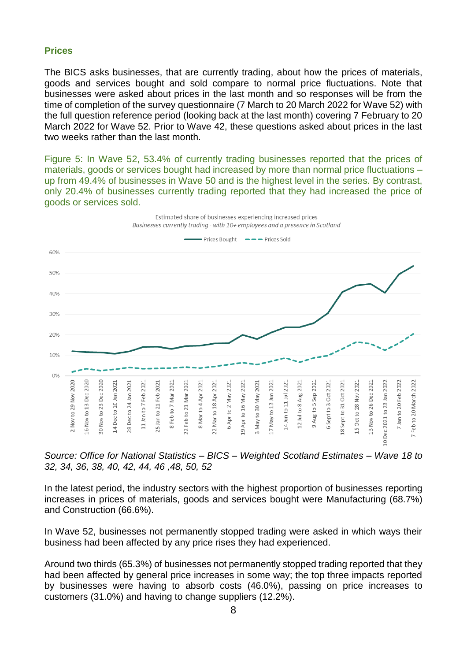#### **Prices**

The BICS asks businesses, that are currently trading, about how the prices of materials, goods and services bought and sold compare to normal price fluctuations. Note that businesses were asked about prices in the last month and so responses will be from the time of completion of the survey questionnaire (7 March to 20 March 2022 for Wave 52) with the full question reference period (looking back at the last month) covering 7 February to 20 March 2022 for Wave 52. Prior to Wave 42, these questions asked about prices in the last two weeks rather than the last month.

Figure 5: In Wave 52, 53.4% of currently trading businesses reported that the prices of materials, goods or services bought had increased by more than normal price fluctuations – up from 49.4% of businesses in Wave 50 and is the highest level in the series. By contrast, only 20.4% of businesses currently trading reported that they had increased the price of goods or services sold.



*Source: Office for National Statistics – BICS – Weighted Scotland Estimates – Wave 18 to 32, 34, 36, 38, 40, 42, 44, 46 ,48, 50, 52*

In the latest period, the industry sectors with the highest proportion of businesses reporting increases in prices of materials, goods and services bought were Manufacturing (68.7%) and Construction (66.6%).

In Wave 52, businesses not permanently stopped trading were asked in which ways their business had been affected by any price rises they had experienced.

Around two thirds (65.3%) of businesses not permanently stopped trading reported that they had been affected by general price increases in some way; the top three impacts reported by businesses were having to absorb costs (46.0%), passing on price increases to customers (31.0%) and having to change suppliers (12.2%).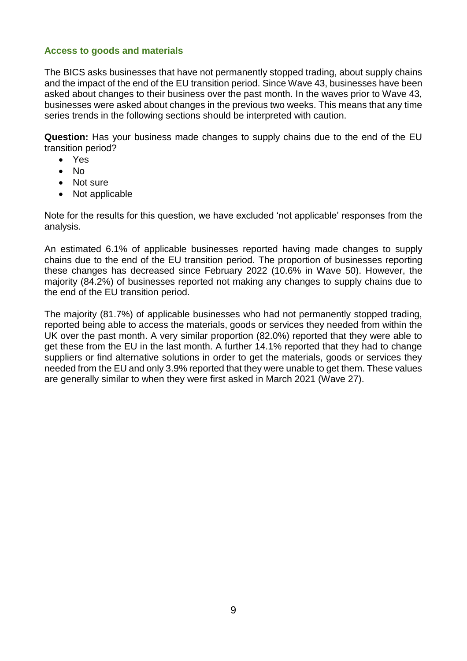#### <span id="page-8-0"></span>**Access to goods and materials**

The BICS asks businesses that have not permanently stopped trading, about supply chains and the impact of the end of the EU transition period. Since Wave 43, businesses have been asked about changes to their business over the past month. In the waves prior to Wave 43, businesses were asked about changes in the previous two weeks. This means that any time series trends in the following sections should be interpreted with caution.

**Question:** Has your business made changes to supply chains due to the end of the EU transition period?

- Yes
- $\bullet$  No
- Not sure
- Not applicable

Note for the results for this question, we have excluded 'not applicable' responses from the analysis.

An estimated 6.1% of applicable businesses reported having made changes to supply chains due to the end of the EU transition period. The proportion of businesses reporting these changes has decreased since February 2022 (10.6% in Wave 50). However, the majority (84.2%) of businesses reported not making any changes to supply chains due to the end of the EU transition period.

The majority (81.7%) of applicable businesses who had not permanently stopped trading, reported being able to access the materials, goods or services they needed from within the UK over the past month. A very similar proportion (82.0%) reported that they were able to get these from the EU in the last month. A further 14.1% reported that they had to change suppliers or find alternative solutions in order to get the materials, goods or services they needed from the EU and only 3.9% reported that they were unable to get them. These values are generally similar to when they were first asked in March 2021 (Wave 27).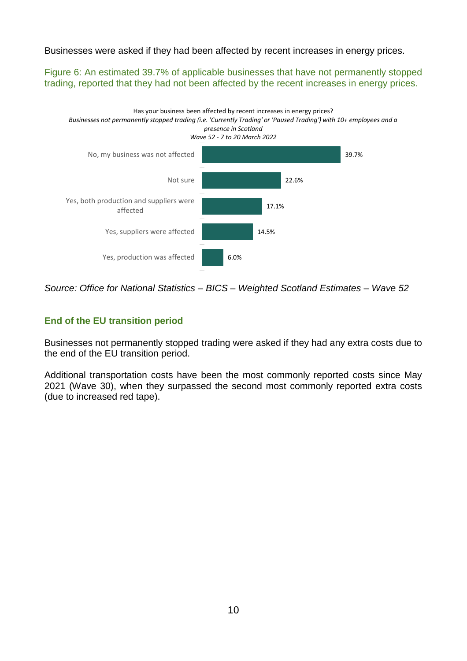Businesses were asked if they had been affected by recent increases in energy prices.

Figure 6: An estimated 39.7% of applicable businesses that have not permanently stopped trading, reported that they had not been affected by the recent increases in energy prices.



*Source: Office for National Statistics – BICS – Weighted Scotland Estimates – Wave 52*

## <span id="page-9-0"></span>**End of the EU transition period**

Businesses not permanently stopped trading were asked if they had any extra costs due to the end of the EU transition period.

Additional transportation costs have been the most commonly reported costs since May 2021 (Wave 30), when they surpassed the second most commonly reported extra costs (due to increased red tape).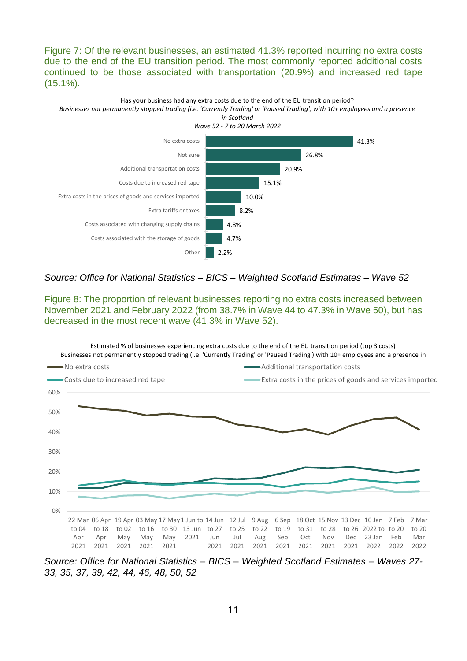Figure 7: Of the relevant businesses, an estimated 41.3% reported incurring no extra costs due to the end of the EU transition period. The most commonly reported additional costs continued to be those associated with transportation (20.9%) and increased red tape (15.1%).



#### *Source: Office for National Statistics – BICS – Weighted Scotland Estimates – Wave 52*

Figure 8: The proportion of relevant businesses reporting no extra costs increased between November 2021 and February 2022 (from 38.7% in Wave 44 to 47.3% in Wave 50), but has decreased in the most recent wave (41.3% in Wave 52).



*Source: Office for National Statistics – BICS – Weighted Scotland Estimates – Waves 27- 33, 35, 37, 39, 42, 44, 46, 48, 50, 52*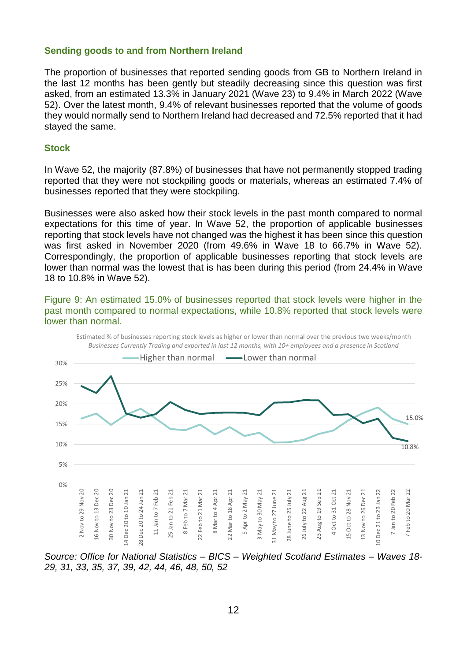#### <span id="page-11-0"></span>**Sending goods to and from Northern Ireland**

The proportion of businesses that reported sending goods from GB to Northern Ireland in the last 12 months has been gently but steadily decreasing since this question was first asked, from an estimated 13.3% in January 2021 (Wave 23) to 9.4% in March 2022 (Wave 52). Over the latest month, 9.4% of relevant businesses reported that the volume of goods they would normally send to Northern Ireland had decreased and 72.5% reported that it had stayed the same.

#### <span id="page-11-1"></span>**Stock**

In Wave 52, the majority (87.8%) of businesses that have not permanently stopped trading reported that they were not stockpiling goods or materials, whereas an estimated 7.4% of businesses reported that they were stockpiling.

Businesses were also asked how their stock levels in the past month compared to normal expectations for this time of year. In Wave 52, the proportion of applicable businesses reporting that stock levels have not changed was the highest it has been since this question was first asked in November 2020 (from 49.6% in Wave 18 to 66.7% in Wave 52). Correspondingly, the proportion of applicable businesses reporting that stock levels are lower than normal was the lowest that is has been during this period (from 24.4% in Wave 18 to 10.8% in Wave 52).

Figure 9: An estimated 15.0% of businesses reported that stock levels were higher in the past month compared to normal expectations, while 10.8% reported that stock levels were lower than normal.



*Source: Office for National Statistics – BICS – Weighted Scotland Estimates – Waves 18- 29, 31, 33, 35, 37, 39, 42, 44, 46, 48, 50, 52*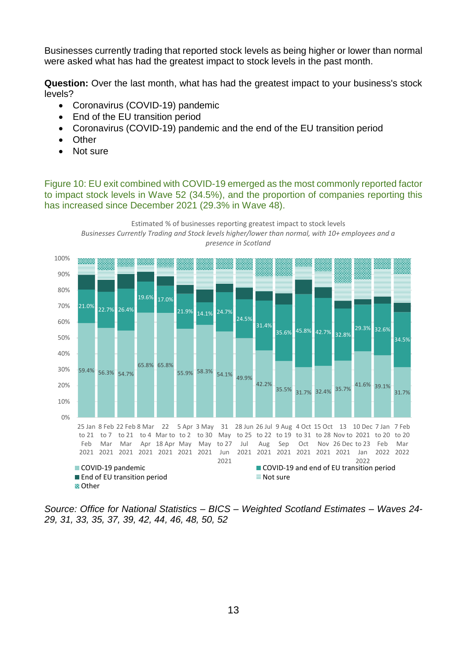Businesses currently trading that reported stock levels as being higher or lower than normal were asked what has had the greatest impact to stock levels in the past month.

**Question:** Over the last month, what has had the greatest impact to your business's stock levels?

- Coronavirus (COVID-19) pandemic
- End of the EU transition period
- Coronavirus (COVID-19) pandemic and the end of the EU transition period
- Other
- Not sure

Figure 10: EU exit combined with COVID-19 emerged as the most commonly reported factor to impact stock levels in Wave 52 (34.5%), and the proportion of companies reporting this has increased since December 2021 (29.3% in Wave 48).



<span id="page-12-0"></span>*Source: Office for National Statistics – BICS – Weighted Scotland Estimates – Waves 24- 29, 31, 33, 35, 37, 39, 42, 44, 46, 48, 50, 52*